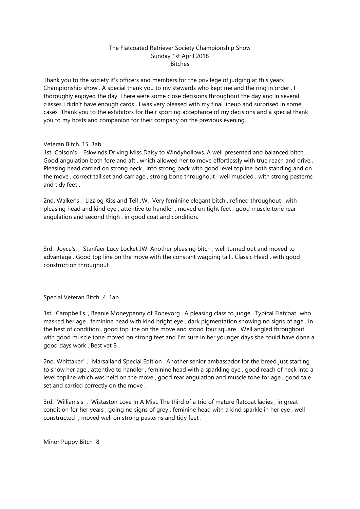# The Flatcoated Retriever Society Championship Show Sunday 1st April 2018 Bitches

Thank you to the society it's officers and members for the privilege of judging at this years Championship show . A special thank you to my stewards who kept me and the ring in order . I thoroughly enjoyed the day. There were some close decisions throughout the day and in several classes I didn't have enough cards . I was very pleased with my final lineup and surprised in some cases Thank you to the exhibitors for their sporting acceptance of my decisions and a special thank you to my hosts and companion for their company on the previous evening.

## Veteran Bitch. 15. 3ab

1st Colson's , Eskwinds Driving Miss Daisy to Windyhollows. A well presented and balanced bitch. Good angulation both fore and aft , which allowed her to move effortlessly with true reach and drive . Pleasing head carried on strong neck , into strong back with good level topline both standing and on the move , correct tail set and carriage , strong bone throughout , well muscled , with strong pasterns and tidy feet .

2nd. Walker's , Lizzlog Kiss and Tell JW. Very feminine elegant bitch , refined throughout , with pleasing head and kind eye , attentive to handler , moved on tight feet , good muscle tone rear angulation and second thigh , in good coat and condition.

3rd. Joyce's. , Stanfaer Lucy Locket JW. Another pleasing bitch , well turned out and moved to advantage . Good top line on the move with the constant wagging tail . Classic Head , with good construction throughout .

Special Veteran Bitch 4. 1ab

1st. Campbell's. , Beanie Moneypenny of Ronevorg . A pleasing class to judge . Typical Flatcoat who masked her age , feminine head with kind bright eye , dark pigmentation showing no signs of age . In the best of condition , good top line on the move and stood four square . Well angled throughout with good muscle tone moved on strong feet and I'm sure in her younger days she could have done a good days work . Best vet B .

2nd. Whittaker' , Marsalland Special Edition . Another senior ambassador for the breed just starting to show her age , attentive to handler , feminine head with a sparkling eye , good reach of neck into a level topline which was held on the move , good rear angulation and muscle tone for age , good tale set and carried correctly on the move .

3rd. Williams's , Wistaston Love In A Mist. The third of a trio of mature flatcoat ladies , in great condition for her years , going no signs of grey , feminine head with a kind sparkle in her eye , well constructed , moved well on strong pasterns and tidy feet .

Minor Puppy Bitch 8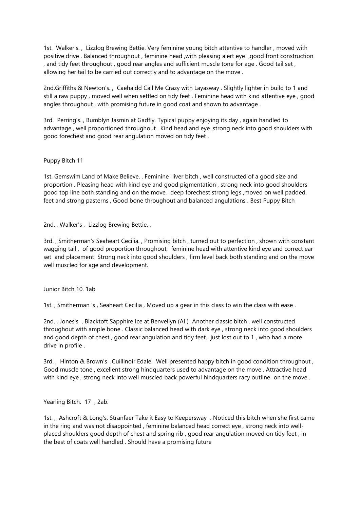1st. Walker's. , Lizzlog Brewing Bettie. Very feminine young bitch attentive to handler , moved with positive drive . Balanced throughout , feminine head ,with pleasing alert eye ,good front construction , and tidy feet throughout , good rear angles and sufficient muscle tone for age . Good tail set , allowing her tail to be carried out correctly and to advantage on the move .

2nd.Griffiths & Newton's. , Caehaidd Call Me Crazy with Layasway . Slightly lighter in build to 1 and still a raw puppy , moved well when settled on tidy feet . Feminine head with kind attentive eye , good angles throughout , with promising future in good coat and shown to advantage .

3rd. Perring's. , Bumblyn Jasmin at Gadfly. Typical puppy enjoying its day , again handled to advantage, well proportioned throughout. Kind head and eye, strong neck into good shoulders with good forechest and good rear angulation moved on tidy feet .

### Puppy Bitch 11

1st. Gemswim Land of Make Believe. , Feminine liver bitch , well constructed of a good size and proportion . Pleasing head with kind eye and good pigmentation , strong neck into good shoulders good top line both standing and on the move, deep forechest strong legs ,moved on well padded. feet and strong pasterns , Good bone throughout and balanced angulations . Best Puppy Bitch

2nd. , Walker's , Lizzlog Brewing Bettie. ,

3rd. , Smitherman's Seaheart Cecilia. , Promising bitch , turned out to perfection , shown with constant wagging tail , of good proportion throughout, feminine head with attentive kind eye and correct ear set and placement Strong neck into good shoulders , firm level back both standing and on the move well muscled for age and development.

Junior Bitch 10. 1ab

1st. , Smitherman 's , Seaheart Cecilia , Moved up a gear in this class to win the class with ease .

2nd. , Jones's , Blacktoft Sapphire Ice at Benvellyn (AI ) Another classic bitch , well constructed throughout with ample bone . Classic balanced head with dark eye , strong neck into good shoulders and good depth of chest , good rear angulation and tidy feet, just lost out to 1 , who had a more drive in profile .

3rd. , Hinton & Brown's ,Cuillinoir Edale. Well presented happy bitch in good condition throughout , Good muscle tone , excellent strong hindquarters used to advantage on the move . Attractive head with kind eye , strong neck into well muscled back powerful hindquarters racy outline on the move .

Yearling Bitch. 17 , 2ab.

1st. , Ashcroft & Long's. Stranfaer Take it Easy to Keepersway . Noticed this bitch when she first came in the ring and was not disappointed , feminine balanced head correct eye , strong neck into wellplaced shoulders good depth of chest and spring rib , good rear angulation moved on tidy feet , in the best of coats well handled . Should have a promising future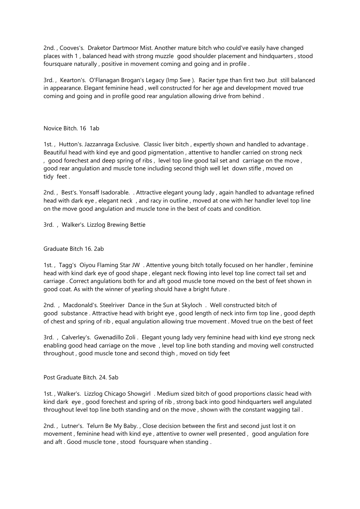2nd. , Cooves's. Draketor Dartmoor Mist. Another mature bitch who could've easily have changed places with 1 , balanced head with strong muzzle good shoulder placement and hindquarters , stood foursquare naturally , positive in movement coming and going and in profile .

3rd. , Kearton's. O'Flanagan Brogan's Legacy (Imp Swe ). Racier type than first two ,but still balanced in appearance. Elegant feminine head , well constructed for her age and development moved true coming and going and in profile good rear angulation allowing drive from behind .

### Novice Bitch. 16 1ab

1st. , Hutton's. Jazzanraga Exclusive. Classic liver bitch , expertly shown and handled to advantage . Beautiful head with kind eye and good pigmentation , attentive to handler carried on strong neck , good forechest and deep spring of ribs , level top line good tail set and carriage on the move , good rear angulation and muscle tone including second thigh well let down stifle , moved on tidy feet .

2nd. , Best's. Yonsaff Isadorable. . Attractive elegant young lady , again handled to advantage refined head with dark eye , elegant neck , and racy in outline , moved at one with her handler level top line on the move good angulation and muscle tone in the best of coats and condition.

3rd. , Walker's. Lizzlog Brewing Bettie

### Graduate Bitch 16. 2ab

1st. , Tagg's Oiyou Flaming Star JW . Attentive young bitch totally focused on her handler , feminine head with kind dark eye of good shape , elegant neck flowing into level top line correct tail set and carriage . Correct angulations both for and aft good muscle tone moved on the best of feet shown in good coat. As with the winner of yearling should have a bright future .

2nd. , Macdonald's. Steelriver Dance in the Sun at Skyloch . Well constructed bitch of good substance . Attractive head with bright eye , good length of neck into firm top line , good depth of chest and spring of rib , equal angulation allowing true movement . Moved true on the best of feet

3rd. , Calverley's. Gwenadillo Zoli . Elegant young lady very feminine head with kind eye strong neck enabling good head carriage on the move , level top line both standing and moving well constructed throughout , good muscle tone and second thigh , moved on tidy feet

Post Graduate Bitch. 24. 5ab

1st. , Walker's. Lizzlog Chicago Showgirl . Medium sized bitch of good proportions classic head with kind dark eye , good forechest and spring of rib , strong back into good hindquarters well angulated throughout level top line both standing and on the move , shown with the constant wagging tail .

2nd. , Lutner's. Telurn Be My Baby. , Close decision between the first and second just lost it on movement , feminine head with kind eye , attentive to owner well presented , good angulation fore and aft . Good muscle tone , stood foursquare when standing .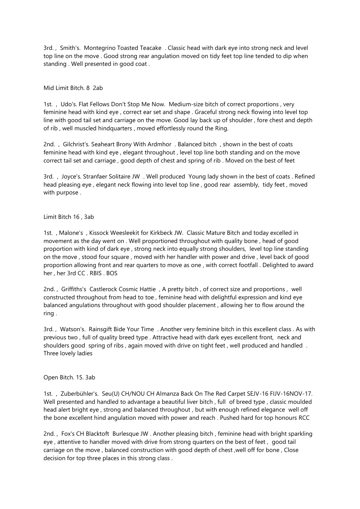3rd. , Smith's. Montegrino Toasted Teacake . Classic head with dark eye into strong neck and level top line on the move . Good strong rear angulation moved on tidy feet top line tended to dip when standing . Well presented in good coat .

### Mid Limit Bitch. 8 2ab

1st. , Udo's. Flat Fellows Don't Stop Me Now. Medium-size bitch of correct proportions , very feminine head with kind eye , correct ear set and shape . Graceful strong neck flowing into level top line with good tail set and carriage on the move. Good lay back up of shoulder , fore chest and depth of rib , well muscled hindquarters , moved effortlessly round the Ring.

2nd. , Gilchrist's. Seaheart Brony With Ardmhor . Balanced bitch , shown in the best of coats feminine head with kind eye , elegant throughout , level top line both standing and on the move correct tail set and carriage , good depth of chest and spring of rib . Moved on the best of feet

3rd. , Joyce's. Stranfaer Solitaire JW . Well produced Young lady shown in the best of coats . Refined head pleasing eye , elegant neck flowing into level top line , good rear assembly, tidy feet , moved with purpose .

### Limit Bitch 16 , 3ab

1st. , Malone's , Kissock Weesleekit for Kirkbeck JW. Classic Mature Bitch and today excelled in movement as the day went on . Well proportioned throughout with quality bone , head of good proportion with kind of dark eye , strong neck into equally strong shoulders, level top line standing on the move , stood four square , moved with her handler with power and drive , level back of good proportion allowing front and rear quarters to move as one , with correct footfall . Delighted to award her , her 3rd CC . RBIS . BOS

2nd. , Griffiths's Castlerock Cosmic Hattie , A pretty bitch , of correct size and proportions , well constructed throughout from head to toe , feminine head with delightful expression and kind eye balanced angulations throughout with good shoulder placement , allowing her to flow around the ring .

3rd. , Watson's. Rainsgift Bide Your Time . Another very feminine bitch in this excellent class . As with previous two , full of quality breed type . Attractive head with dark eyes excellent front, neck and shoulders good spring of ribs , again moved with drive on tight feet , well produced and handled . Three lovely ladies

#### Open Bitch. 15. 3ab

1st. , Zuberbühler's. Seu(U) CH/NOU CH Almanza Back On The Red Carpet SEJV-16 FIJV-16NOV-17. Well presented and handled to advantage a beautiful liver bitch, full of breed type, classic moulded head alert bright eye , strong and balanced throughout , but with enough refined elegance well off the bone excellent hind angulation moved with power and reach . Pushed hard for top honours RCC

2nd. , Fox's CH Blacktoft Burlesque JW . Another pleasing bitch , feminine head with bright sparkling eye , attentive to handler moved with drive from strong quarters on the best of feet , good tail carriage on the move , balanced construction with good depth of chest ,well off for bone , Close decision for top three places in this strong class .